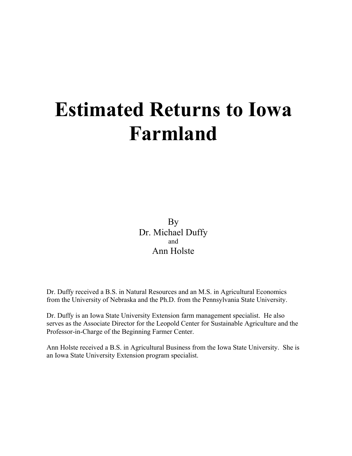# **Estimated Returns to Iowa Farmland**

By Dr. Michael Duffy and Ann Holste

Dr. Duffy received a B.S. in Natural Resources and an M.S. in Agricultural Economics from the University of Nebraska and the Ph.D. from the Pennsylvania State University.

Dr. Duffy is an Iowa State University Extension farm management specialist. He also serves as the Associate Director for the Leopold Center for Sustainable Agriculture and the Professor-in-Charge of the Beginning Farmer Center.

Ann Holste received a B.S. in Agricultural Business from the Iowa State University. She is an Iowa State University Extension program specialist.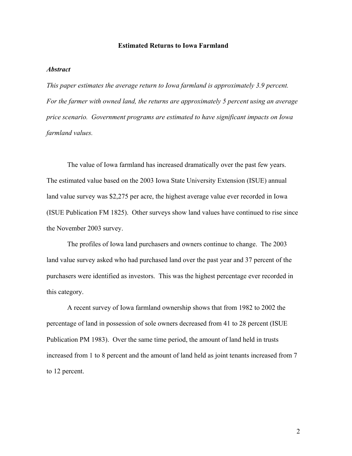#### **Estimated Returns to Iowa Farmland**

#### *Abstract*

*This paper estimates the average return to Iowa farmland is approximately 3.9 percent. For the farmer with owned land, the returns are approximately 5 percent using an average price scenario. Government programs are estimated to have significant impacts on Iowa farmland values.* 

 The value of Iowa farmland has increased dramatically over the past few years. The estimated value based on the 2003 Iowa State University Extension (ISUE) annual land value survey was \$2,275 per acre, the highest average value ever recorded in Iowa (ISUE Publication FM 1825). Other surveys show land values have continued to rise since the November 2003 survey.

 The profiles of Iowa land purchasers and owners continue to change. The 2003 land value survey asked who had purchased land over the past year and 37 percent of the purchasers were identified as investors. This was the highest percentage ever recorded in this category.

 A recent survey of Iowa farmland ownership shows that from 1982 to 2002 the percentage of land in possession of sole owners decreased from 41 to 28 percent (ISUE Publication PM 1983). Over the same time period, the amount of land held in trusts increased from 1 to 8 percent and the amount of land held as joint tenants increased from 7 to 12 percent.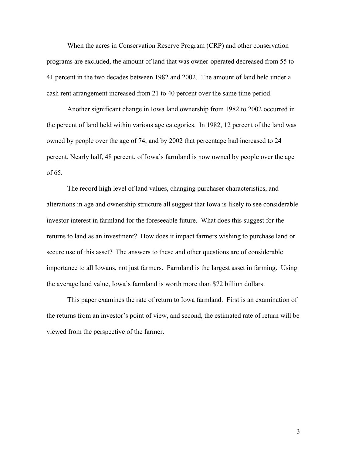When the acres in Conservation Reserve Program (CRP) and other conservation programs are excluded, the amount of land that was owner-operated decreased from 55 to 41 percent in the two decades between 1982 and 2002. The amount of land held under a cash rent arrangement increased from 21 to 40 percent over the same time period.

 Another significant change in Iowa land ownership from 1982 to 2002 occurred in the percent of land held within various age categories. In 1982, 12 percent of the land was owned by people over the age of 74, and by 2002 that percentage had increased to 24 percent. Nearly half, 48 percent, of Iowa's farmland is now owned by people over the age of 65.

 The record high level of land values, changing purchaser characteristics, and alterations in age and ownership structure all suggest that Iowa is likely to see considerable investor interest in farmland for the foreseeable future. What does this suggest for the returns to land as an investment? How does it impact farmers wishing to purchase land or secure use of this asset? The answers to these and other questions are of considerable importance to all Iowans, not just farmers. Farmland is the largest asset in farming. Using the average land value, Iowa's farmland is worth more than \$72 billion dollars.

 This paper examines the rate of return to Iowa farmland. First is an examination of the returns from an investor's point of view, and second, the estimated rate of return will be viewed from the perspective of the farmer.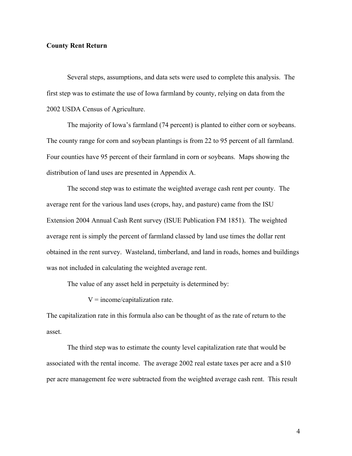#### **County Rent Return**

 Several steps, assumptions, and data sets were used to complete this analysis. The first step was to estimate the use of Iowa farmland by county, relying on data from the 2002 USDA Census of Agriculture.

The majority of Iowa's farmland (74 percent) is planted to either corn or soybeans. The county range for corn and soybean plantings is from 22 to 95 percent of all farmland. Four counties have 95 percent of their farmland in corn or soybeans. Maps showing the distribution of land uses are presented in Appendix A.

 The second step was to estimate the weighted average cash rent per county. The average rent for the various land uses (crops, hay, and pasture) came from the ISU Extension 2004 Annual Cash Rent survey (ISUE Publication FM 1851). The weighted average rent is simply the percent of farmland classed by land use times the dollar rent obtained in the rent survey. Wasteland, timberland, and land in roads, homes and buildings was not included in calculating the weighted average rent.

The value of any asset held in perpetuity is determined by:

 $V = income/capitalization rate.$ 

The capitalization rate in this formula also can be thought of as the rate of return to the asset.

The third step was to estimate the county level capitalization rate that would be associated with the rental income. The average 2002 real estate taxes per acre and a \$10 per acre management fee were subtracted from the weighted average cash rent. This result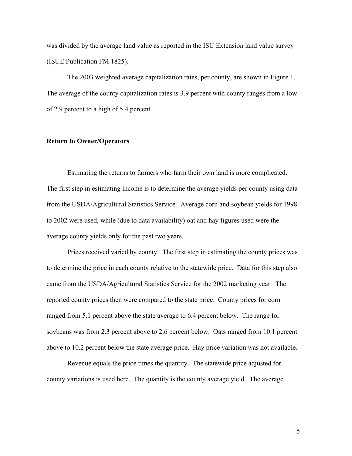was divided by the average land value as reported in the ISU Extension land value survey (ISUE Publication FM 1825).

 The 2003 weighted average capitalization rates, per county, are shown in Figure 1. The average of the county capitalization rates is 3.9 percent with county ranges from a low of 2.9 percent to a high of 5.4 percent.

#### **Return to Owner/Operators**

Estimating the returns to farmers who farm their own land is more complicated. The first step in estimating income is to determine the average yields per county using data from the USDA/Agricultural Statistics Service. Average corn and soybean yields for 1998 to 2002 were used, while (due to data availability) oat and hay figures used were the average county yields only for the past two years.

 Prices received varied by county. The first step in estimating the county prices was to determine the price in each county relative to the statewide price. Data for this step also came from the USDA/Agricultural Statistics Service for the 2002 marketing year. The reported county prices then were compared to the state price. County prices for corn ranged from 5.1 percent above the state average to 6.4 percent below. The range for soybeans was from 2.3 percent above to 2.6 percent below. Oats ranged from 10.1 percent above to 10.2 percent below the state average price. Hay price variation was not available**.** 

 Revenue equals the price times the quantity. The statewide price adjusted for county variations is used here. The quantity is the county average yield. The average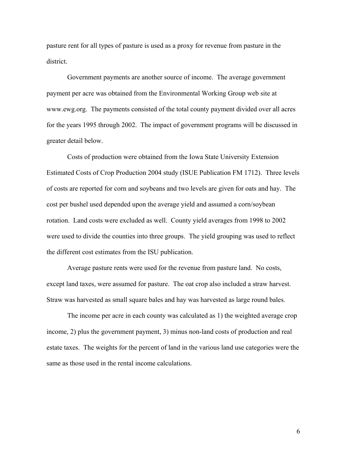pasture rent for all types of pasture is used as a proxy for revenue from pasture in the district.

Government payments are another source of income. The average government payment per acre was obtained from the Environmental Working Group web site at www.ewg.org. The payments consisted of the total county payment divided over all acres for the years 1995 through 2002. The impact of government programs will be discussed in greater detail below.

 Costs of production were obtained from the Iowa State University Extension Estimated Costs of Crop Production 2004 study (ISUE Publication FM 1712). Three levels of costs are reported for corn and soybeans and two levels are given for oats and hay. The cost per bushel used depended upon the average yield and assumed a corn/soybean rotation. Land costs were excluded as well. County yield averages from 1998 to 2002 were used to divide the counties into three groups. The yield grouping was used to reflect the different cost estimates from the ISU publication.

 Average pasture rents were used for the revenue from pasture land. No costs, except land taxes, were assumed for pasture. The oat crop also included a straw harvest. Straw was harvested as small square bales and hay was harvested as large round bales.

 The income per acre in each county was calculated as 1) the weighted average crop income, 2) plus the government payment, 3) minus non-land costs of production and real estate taxes. The weights for the percent of land in the various land use categories were the same as those used in the rental income calculations.

6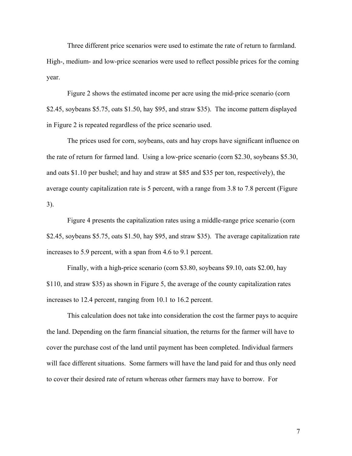Three different price scenarios were used to estimate the rate of return to farmland. High-, medium- and low-price scenarios were used to reflect possible prices for the coming year.

 Figure 2 shows the estimated income per acre using the mid-price scenario (corn \$2.45, soybeans \$5.75, oats \$1.50, hay \$95, and straw \$35). The income pattern displayed in Figure 2 is repeated regardless of the price scenario used.

 The prices used for corn, soybeans, oats and hay crops have significant influence on the rate of return for farmed land. Using a low-price scenario (corn \$2.30, soybeans \$5.30, and oats \$1.10 per bushel; and hay and straw at \$85 and \$35 per ton, respectively), the average county capitalization rate is 5 percent, with a range from 3.8 to 7.8 percent (Figure 3).

Figure 4 presents the capitalization rates using a middle-range price scenario (corn \$2.45, soybeans \$5.75, oats \$1.50, hay \$95, and straw \$35). The average capitalization rate increases to 5.9 percent, with a span from 4.6 to 9.1 percent.

Finally, with a high-price scenario (corn \$3.80, soybeans \$9.10, oats \$2.00, hay \$110, and straw \$35) as shown in Figure 5, the average of the county capitalization rates increases to 12.4 percent, ranging from 10.1 to 16.2 percent.

This calculation does not take into consideration the cost the farmer pays to acquire the land. Depending on the farm financial situation, the returns for the farmer will have to cover the purchase cost of the land until payment has been completed. Individual farmers will face different situations. Some farmers will have the land paid for and thus only need to cover their desired rate of return whereas other farmers may have to borrow. For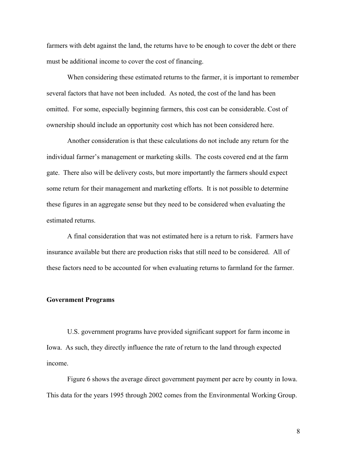farmers with debt against the land, the returns have to be enough to cover the debt or there must be additional income to cover the cost of financing.

When considering these estimated returns to the farmer, it is important to remember several factors that have not been included. As noted, the cost of the land has been omitted. For some, especially beginning farmers, this cost can be considerable. Cost of ownership should include an opportunity cost which has not been considered here.

 Another consideration is that these calculations do not include any return for the individual farmer's management or marketing skills. The costs covered end at the farm gate. There also will be delivery costs, but more importantly the farmers should expect some return for their management and marketing efforts. It is not possible to determine these figures in an aggregate sense but they need to be considered when evaluating the estimated returns.

 A final consideration that was not estimated here is a return to risk. Farmers have insurance available but there are production risks that still need to be considered. All of these factors need to be accounted for when evaluating returns to farmland for the farmer.

#### **Government Programs**

U.S. government programs have provided significant support for farm income in Iowa. As such, they directly influence the rate of return to the land through expected income.

 Figure 6 shows the average direct government payment per acre by county in Iowa. This data for the years 1995 through 2002 comes from the Environmental Working Group.

8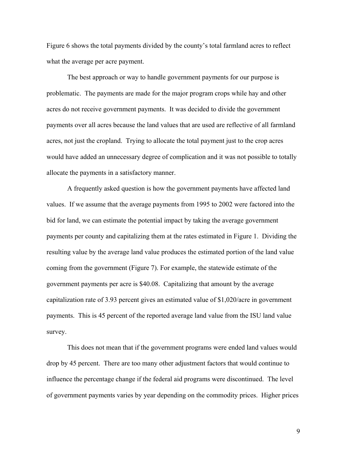Figure 6 shows the total payments divided by the county's total farmland acres to reflect what the average per acre payment.

 The best approach or way to handle government payments for our purpose is problematic. The payments are made for the major program crops while hay and other acres do not receive government payments. It was decided to divide the government payments over all acres because the land values that are used are reflective of all farmland acres, not just the cropland. Trying to allocate the total payment just to the crop acres would have added an unnecessary degree of complication and it was not possible to totally allocate the payments in a satisfactory manner.

 A frequently asked question is how the government payments have affected land values. If we assume that the average payments from 1995 to 2002 were factored into the bid for land, we can estimate the potential impact by taking the average government payments per county and capitalizing them at the rates estimated in Figure 1. Dividing the resulting value by the average land value produces the estimated portion of the land value coming from the government (Figure 7). For example, the statewide estimate of the government payments per acre is \$40.08. Capitalizing that amount by the average capitalization rate of 3.93 percent gives an estimated value of \$1,020/acre in government payments. This is 45 percent of the reported average land value from the ISU land value survey.

 This does not mean that if the government programs were ended land values would drop by 45 percent. There are too many other adjustment factors that would continue to influence the percentage change if the federal aid programs were discontinued. The level of government payments varies by year depending on the commodity prices. Higher prices

9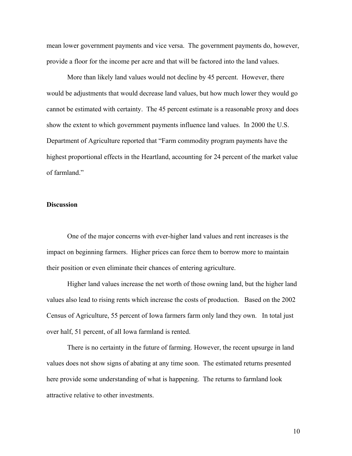mean lower government payments and vice versa. The government payments do, however, provide a floor for the income per acre and that will be factored into the land values.

More than likely land values would not decline by 45 percent. However, there would be adjustments that would decrease land values, but how much lower they would go cannot be estimated with certainty. The 45 percent estimate is a reasonable proxy and does show the extent to which government payments influence land values. In 2000 the U.S. Department of Agriculture reported that "Farm commodity program payments have the highest proportional effects in the Heartland, accounting for 24 percent of the market value of farmland."

#### **Discussion**

 One of the major concerns with ever-higher land values and rent increases is the impact on beginning farmers. Higher prices can force them to borrow more to maintain their position or even eliminate their chances of entering agriculture.

 Higher land values increase the net worth of those owning land, but the higher land values also lead to rising rents which increase the costs of production. Based on the 2002 Census of Agriculture, 55 percent of Iowa farmers farm only land they own. In total just over half, 51 percent, of all Iowa farmland is rented.

 There is no certainty in the future of farming. However, the recent upsurge in land values does not show signs of abating at any time soon. The estimated returns presented here provide some understanding of what is happening. The returns to farmland look attractive relative to other investments.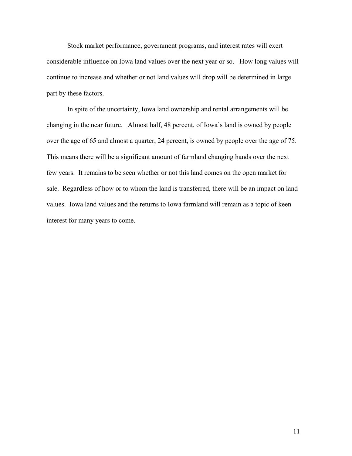Stock market performance, government programs, and interest rates will exert considerable influence on Iowa land values over the next year or so. How long values will continue to increase and whether or not land values will drop will be determined in large part by these factors.

 In spite of the uncertainty, Iowa land ownership and rental arrangements will be changing in the near future. Almost half, 48 percent, of Iowa's land is owned by people over the age of 65 and almost a quarter, 24 percent, is owned by people over the age of 75. This means there will be a significant amount of farmland changing hands over the next few years. It remains to be seen whether or not this land comes on the open market for sale. Regardless of how or to whom the land is transferred, there will be an impact on land values. Iowa land values and the returns to Iowa farmland will remain as a topic of keen interest for many years to come.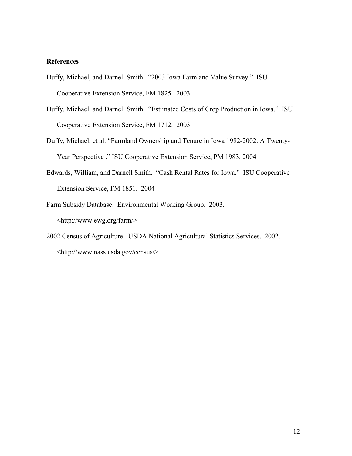#### **References**

- Duffy, Michael, and Darnell Smith. "2003 Iowa Farmland Value Survey." ISU Cooperative Extension Service, FM 1825. 2003.
- Duffy, Michael, and Darnell Smith. "Estimated Costs of Crop Production in Iowa." ISU Cooperative Extension Service, FM 1712. 2003.
- Duffy, Michael, et al. "Farmland Ownership and Tenure in Iowa 1982-2002: A Twenty-Year Perspective ." ISU Cooperative Extension Service, PM 1983. 2004
- Edwards, William, and Darnell Smith. "Cash Rental Rates for Iowa." ISU Cooperative Extension Service, FM 1851. 2004
- Farm Subsidy Database. Environmental Working Group. 2003. <http://www.ewg.org/farm/>
- 2002 Census of Agriculture. USDA National Agricultural Statistics Services. 2002. <http://www.nass.usda.gov/census/>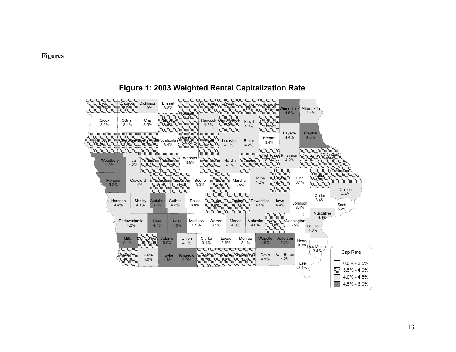## **Figures**



## **Figure 1: 2003 Weighted Rental Capitalization Rate**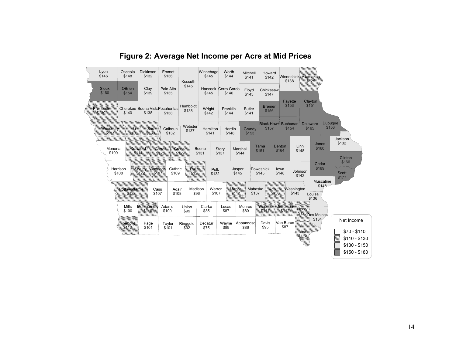

# **Figure 2: Average Net Income per Acre at Mid Prices**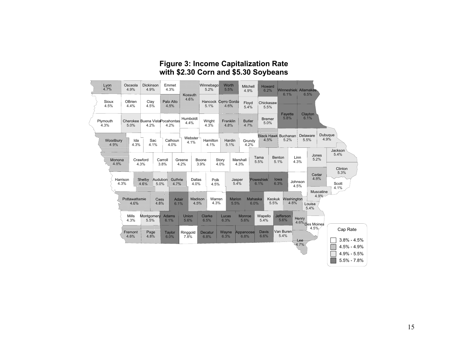### **Figure 3: Income Capitalization Rate with \$2.30 Corn and \$5.30 Soybeans**

| <u>   phy phpy</u><br>Sioux<br>OBrien<br>Clay<br>Hancock<br>ette 1666 lette<br>Floyd<br>Chickasaw<br>4.5%<br>4.4%<br>4.5%<br>5.1%<br>5.4%<br>5.5%<br>Clayton<br>Fayette<br>5.8%<br>6.1%<br>Humboldt<br><b>Bremer</b><br>Plymouth<br>Wright<br>Cherokee Buena Vista Pocahontas<br>19999999<br>Butter<br>4.4%<br>5.0%<br>4.3%<br>5.0%<br>4.2%<br>4.3%<br>4.2%<br>47889<br>Dubuque<br>Black Hawk Buchanan<br>Delaware<br>Webster<br>4.9%<br>#289<br>5.2%<br>5.5%<br><b>MAGGGGGGY</b><br>Sac<br>Ida<br>Calhoun<br>Hamilton<br>Hardin<br>Grundy<br>4.1%<br>4.3%<br>5.1%<br>4.1%<br>4.0%<br>4.1%<br>4.2%<br>Jackson<br>5.4%<br>Jones<br>Tama<br>Linn<br><b>Benton</b><br>5.2%<br>Crawford<br>Monona<br>Boone<br>Carroll<br>Greene<br>Story<br>Marshall<br>5.5%<br>5.1%<br>4.3%<br>4.3%<br>3.8%<br>4.2%<br>3.9%<br>4.0%<br>4.3%<br>Clinton<br>5.3%<br>56662<br>Harrison<br>Audubon<br>Dallas<br>Poweshiek<br><b>Notishe</b><br>Jasper<br>lowa<br>Guthnie.<br>Polk<br>Johnson<br>5.0%<br>4.3%<br>4.0%<br>6.3%<br>5.4%<br>6.1%<br>Scott<br><b>479.8%</b><br>264<br>4.5%<br>4.5%<br>4.1%<br>Muscatine<br>4.9%<br><b>Rottewattemple</b><br><b>Mashhont</b><br>Warren<br>Marion<br>Mahaska<br>Keokuk<br>Adair<br>hóéibísh<br>09,98<br>6.1%<br>4.3%<br>5.5%<br>6.0%<br>5.5%<br>Louisa<br>5.4%<br><b>Jefferson</b><br>Mills<br>Wapello<br>Adams<br>Union<br>Montgomery<br>Clarke<br>Monroe<br>Lucas<br>kjelack<br>4.3%<br>6.3%<br>5.6%<br>5.6%<br>5.5%<br>6.1%<br>6.5%<br>5.4%<br>5.6%<br>iSes Moines<br>4.5%<br>Cap Rate<br>Van Buren<br><b>Davis</b><br>Appanoose<br>Whathar.<br>Wayne<br>Ringgold<br>Rage<br>Taylor<br>Decatur | 19614 | Osceola<br>4.9% | Dickinson<br>4.9% | Emmet<br>4.3% |         | Winnebago<br>5.2% | Worth<br>5.5% | Mitchell<br>4.9% | Howard<br>6.2% | Winneshiek<br>6.1% | Allamakee<br>6.5% |                                                   |
|---------------------------------------------------------------------------------------------------------------------------------------------------------------------------------------------------------------------------------------------------------------------------------------------------------------------------------------------------------------------------------------------------------------------------------------------------------------------------------------------------------------------------------------------------------------------------------------------------------------------------------------------------------------------------------------------------------------------------------------------------------------------------------------------------------------------------------------------------------------------------------------------------------------------------------------------------------------------------------------------------------------------------------------------------------------------------------------------------------------------------------------------------------------------------------------------------------------------------------------------------------------------------------------------------------------------------------------------------------------------------------------------------------------------------------------------------------------------------------------------------------------------------------------------------------------------------------------------------------------------|-------|-----------------|-------------------|---------------|---------|-------------------|---------------|------------------|----------------|--------------------|-------------------|---------------------------------------------------|
|                                                                                                                                                                                                                                                                                                                                                                                                                                                                                                                                                                                                                                                                                                                                                                                                                                                                                                                                                                                                                                                                                                                                                                                                                                                                                                                                                                                                                                                                                                                                                                                                                     |       |                 |                   |               | 1408800 |                   |               |                  |                |                    |                   |                                                   |
|                                                                                                                                                                                                                                                                                                                                                                                                                                                                                                                                                                                                                                                                                                                                                                                                                                                                                                                                                                                                                                                                                                                                                                                                                                                                                                                                                                                                                                                                                                                                                                                                                     |       |                 |                   |               |         |                   |               |                  |                |                    |                   |                                                   |
|                                                                                                                                                                                                                                                                                                                                                                                                                                                                                                                                                                                                                                                                                                                                                                                                                                                                                                                                                                                                                                                                                                                                                                                                                                                                                                                                                                                                                                                                                                                                                                                                                     |       |                 |                   |               |         |                   |               |                  |                |                    |                   |                                                   |
|                                                                                                                                                                                                                                                                                                                                                                                                                                                                                                                                                                                                                                                                                                                                                                                                                                                                                                                                                                                                                                                                                                                                                                                                                                                                                                                                                                                                                                                                                                                                                                                                                     |       |                 |                   |               |         |                   |               |                  |                |                    |                   |                                                   |
|                                                                                                                                                                                                                                                                                                                                                                                                                                                                                                                                                                                                                                                                                                                                                                                                                                                                                                                                                                                                                                                                                                                                                                                                                                                                                                                                                                                                                                                                                                                                                                                                                     |       |                 |                   |               |         |                   |               |                  |                |                    |                   |                                                   |
|                                                                                                                                                                                                                                                                                                                                                                                                                                                                                                                                                                                                                                                                                                                                                                                                                                                                                                                                                                                                                                                                                                                                                                                                                                                                                                                                                                                                                                                                                                                                                                                                                     |       |                 |                   |               |         |                   |               |                  |                |                    |                   |                                                   |
|                                                                                                                                                                                                                                                                                                                                                                                                                                                                                                                                                                                                                                                                                                                                                                                                                                                                                                                                                                                                                                                                                                                                                                                                                                                                                                                                                                                                                                                                                                                                                                                                                     |       |                 |                   |               |         |                   |               |                  |                |                    |                   |                                                   |
| 66                                                                                                                                                                                                                                                                                                                                                                                                                                                                                                                                                                                                                                                                                                                                                                                                                                                                                                                                                                                                                                                                                                                                                                                                                                                                                                                                                                                                                                                                                                                                                                                                                  |       |                 | 484               | 6.0%          | 7.8%    | 6.8%              | 6.3%          | 6.8%             | 6.6%           | 5.4%               |                   | $3.8\% - 4.5\%$                                   |
| ▧                                                                                                                                                                                                                                                                                                                                                                                                                                                                                                                                                                                                                                                                                                                                                                                                                                                                                                                                                                                                                                                                                                                                                                                                                                                                                                                                                                                                                                                                                                                                                                                                                   |       |                 |                   |               |         |                   |               |                  |                |                    |                   | 4.5% - 4.9%<br>$4.9\% - 5.5\%$<br>$5.5\% - 7.8\%$ |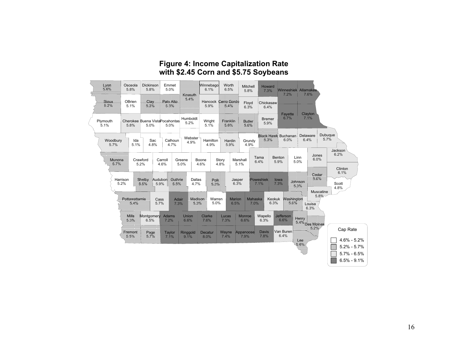## **Figure 4: Income Capitalization Rate with \$2.45 Corn and \$5.75 Soybeans**

| 4641             | Osceola<br>5.8%                                | Dickinson<br>5.8%                       | Emmet<br>5.0%                                                                   |                                                | Winnebago<br>6.1%                 | Worth<br>6.5%                                     | Mitchell<br>5.8%                           | Howard<br>7.3%                                      | Winneshiek<br>7.2%                           | Allamakee<br>7.6%                                                                          |                                                            |
|------------------|------------------------------------------------|-----------------------------------------|---------------------------------------------------------------------------------|------------------------------------------------|-----------------------------------|---------------------------------------------------|--------------------------------------------|-----------------------------------------------------|----------------------------------------------|--------------------------------------------------------------------------------------------|------------------------------------------------------------|
| 9999.<br>Siste   | OBrien<br>5.1%                                 | 160)<br>1800                            | 1891416169                                                                      | 9993010.<br>  AXXXII                           | Hancock<br>5.9%                   | 19499/9648                                        | Floyd<br>6.3%                              | Chickasaw<br>6.4%                                   |                                              |                                                                                            |                                                            |
| Plymouth<br>5.1% | 5.8%                                           | Cherokee Buena Vista Pocahontas<br>5.0% | 5.0%                                                                            | Humboldt<br>5.2%                               | Wright<br>5.1%                    | /Addition/                                        | Butlet                                     | <b>Bremer</b><br>5.9%                               | <b>Fayette</b><br>6.7%                       | Clayton<br>7.1%                                                                            |                                                            |
| Woodbury<br>5.7% | Ida<br>5.1%                                    | Sac<br>4.8%                             | Calhoun<br>4.7%                                                                 | Webster<br>4.9%                                | Hamilton<br>4.9%                  | Hardin<br>5.9%                                    | Grundy<br>4.9%                             | 2389.                                               | <b>Black Hawk</b> Buchanan<br>6.0%           | Delaware<br>6.4%                                                                           | Dubuque<br>5.7%                                            |
|                  | ishohom<br>Harrison<br>5.2%<br>eshikhikhikhish | Crawford<br>5.2%<br>: Adheidh<br>6,8%   | Carroll<br>4.6%<br>Audubon<br>Guthine,<br>5.9%<br>Adair<br>Cass<br>5.7%<br>7.3% | Greene<br>5.0%<br>Dallas<br>4.7%<br>maaloisiva | Boone<br>4.6%<br>Warren<br>5.0%   | Story<br>4.8%<br>Jasper<br>6.3%<br>Marion<br>6.5% | Marshall<br>5.1%<br>Mahaska<br>7.0%        | Tama<br>6.4%<br>Poweshiek<br>7.1%<br>Keokuk<br>6.3% | Benton<br>5.9%<br>lowa<br>7.3%<br>hotoninasy | Jones<br>Linn<br>6.0%<br>5.0%<br>16994<br>100466660<br>Muscatine<br>5.8%<br>Louisa<br>6.3% | Jackson<br>6.2%<br>Clinton<br>6.1%<br>Scott<br>4.8%        |
|                  | 湖波<br>Montest.                                 | Montgomery<br>6.5%<br>Rage.             | <b>Adams</b><br>7.2%<br>Taylor<br>7.1%                                          | Union<br>6.6%<br>Ringgold<br>9.1%              | Clarke<br>7.6%<br>Decatur<br>8.0% | Lucas<br>7.3%<br>Wayne<br>7.4%                    | <b>Monroe</b><br>6.6%<br>Appanoose<br>7.9% | Wapello<br>6.3%<br><b>Davis</b><br>7.8%             | Jefferson<br>6.6%<br>Van Buren<br>6.4%       | <b>RAMANA SANAHA.</b><br>RAMANA SANAHA P<br>ee.                                            | Cap Rate<br>$4.6\% - 5.2\%$                                |
|                  |                                                |                                         |                                                                                 |                                                |                                   |                                                   |                                            |                                                     |                                              |                                                                                            | ▧<br>$5.2\% - 5.7\%$<br>$5.7\% - 6.5\%$<br>$6.5\% - 9.1\%$ |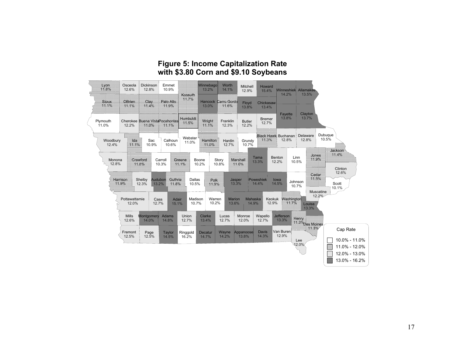## **Figure 5: Income Capitalization Rate with \$3.80 Corn and \$9.10 Soybeans**

| 464               | Osceola<br>12.6%       | Dickinson<br>12.8%                  | Emmet<br>10.9%         |                   | Winnebago<br>13.2%      | Worth<br>14.1%       | Mitchell<br>12.9%      | Howard<br>15.4%        | <b>Winneshiek</b><br>14.2%   | Allamakee<br>13.5% |                                                 |
|-------------------|------------------------|-------------------------------------|------------------------|-------------------|-------------------------|----------------------|------------------------|------------------------|------------------------------|--------------------|-------------------------------------------------|
| <b>Hillips</b>    | 1661186                | offix)                              | /6104/6169             | <b>Rossom</b>     | <b>Hancock</b><br>13.0% | 661607/66198<br>4798 | Floyd<br>13.8%         | Chickasaw<br>13.4%     |                              |                    |                                                 |
| Plymouth<br>11.0% | Cherokee<br>12.2%      |                                     | Buena Weterspeakontest | Abylolytilik      | 106600.<br>SKAR         | Franklin<br>12.3%    | <b>Butler</b><br>12.2% | <b>Bremer</b><br>12.7% | Fayette<br>13.8%             | Clayton<br>13.7%   |                                                 |
| Woodbury<br>12.4% | લિવે                   | Sac<br>10.9%                        | Calhoun<br>10.6%       | Webster<br>11.0%  | hommen                  | Hardin<br>12.7%      | Grundy<br>10.7%        | 41369                  | Black Hawk Buchanan<br>12.8% | Delaware<br>12.8%  | Dubuque<br>10.5%<br>1661660                     |
| Monona<br>12.8%   |                        | Odobwódol ()                        | Carroll<br>10.3%       | 909912            | Boone<br>10.2%          | Story<br>10.8%       | Natienen<br>47989      | Tama<br>13.3%          | Benton<br>Linn<br>12.2%      | 18,5000<br>10.5%   | 464<br>Clinton                                  |
|                   | <b>Hoepherk</b> ,      | Audubon<br>Shelby<br>13.2%<br>12.3% | shmoo<br>4864          | Dallas<br>10.5%   | 9169                    |                      | Jasper<br>13.3%        | Poweshiek<br>14.4%     | lowa<br>Johnson<br>14.5%     | 56662<br>10.7%     | 12.6%<br>Scott<br>10.1%<br>Muscatine            |
|                   | Pottawattamie<br>12.0% | Cass<br>12.7%                       | Adair<br>15.1%         | Madison<br>10.7%  | Warren<br>10.2%         | Marion<br>13.6%      | Mahaska<br>14.9%       | Keokuk<br>12.9%        | Mashington                   | Louisa<br>13.3%    | 12.2%                                           |
|                   | <b>Mills</b><br>12.6%  | Montgomery<br>14.0%                 | <b>Adams</b><br>14.8%  | Union<br>12.7%    | Clarke<br>13.4%         | Lucas<br>12.7%       | Monroe<br>12.0%        | Wapello<br>12.7%       | <b>Jefferson</b><br>13.3%    |                    |                                                 |
|                   | Fremont<br>12.5%       | Page<br>12.5%                       | Taylor<br>14.5%        | Ringgold<br>16.2% | Decatur<br>14.7%        | Wayne<br>14.2%       | Appanoose<br>13.8%     | <b>Davis</b><br>14.3%  | Van Buren<br>12.9%           | Lee<br>12.0%       | Cap Rate<br>10.0% - 11.0%<br>▧<br>11.0% - 12.0% |
|                   |                        |                                     |                        |                   |                         |                      |                        |                        |                              |                    | 12.0% - 13.0%<br>13.0% - 16.2%                  |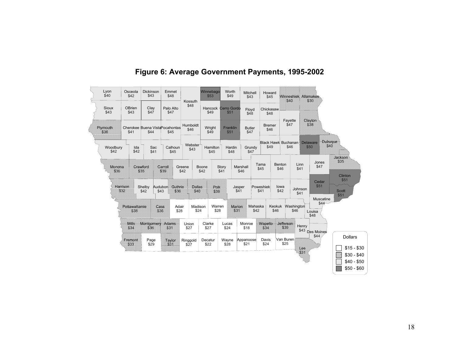| Lyon<br>\$40     | Osceola<br>\$42         | <b>Dickinson</b><br>\$43 | Emmet<br>\$48                           |                  | Winnebago<br>\$53 | Worth<br>\$49                      | Mitchell<br>\$43      | Howard<br>\$45        |                             |                         |                                     |                                  |
|------------------|-------------------------|--------------------------|-----------------------------------------|------------------|-------------------|------------------------------------|-----------------------|-----------------------|-----------------------------|-------------------------|-------------------------------------|----------------------------------|
| Sioux<br>\$43    | OBrien<br>\$43          | Clay<br>\$47             | Palo Alto<br>\$47                       | Kossuth<br>\$48  | \$49              | <b>Hancock Cerro Gordo</b><br>\$51 | Floyd<br>\$48         | Chickasaw<br>\$48     |                             |                         |                                     |                                  |
| Atustrivis       | \$41                    | \$44                     | Cherokee Buena Vista Pocahontas<br>\$45 | Humboldt<br>\$46 | Wright<br>\$49    | Franklin<br>\$51                   | <b>Butler</b><br>\$47 | <b>Bremer</b><br>\$46 | Fayette<br>\$47             |                         | stawon                              |                                  |
| Woodbury<br>\$42 | Ida<br>\$42             | Sac<br>\$41              | Calhoun<br>\$45                         | Webster<br>\$43  | Hamilton<br>\$45  | Hardin<br>\$48                     | Grundy<br>\$47        | \$49                  | Black Hawk Buchanan<br>\$46 | <b>Delaware</b><br>\$50 | Qubuque:                            | 1908/1560                        |
| <u> Mohoppy </u> |                         | Chawtond (               | <b>SANON</b><br>36.                     | Greene<br>\$42   | Boone<br>\$42     | Story<br>\$41                      | Marshall<br>\$46      | Tama<br>\$45          | Benton<br>\$46              | Linn<br>\$41            | Jones<br>\$47                       | Clinton                          |
|                  | oogiidikh               | Shelby<br>\$42<br>\$43   | Audubon<br>Guthine,                     | /sistiaci        |                   | Jasper<br>\$41                     |                       | Poweshiek<br>\$41     | lowa<br>\$42                | Johnson<br>\$41         | Cedar<br>\$51                       | \$51<br><b>Scott</b><br>\$51     |
|                  | <b>Antaliswattanion</b> | 7922                     | Adair<br>\$28                           | Madison<br>\$24  | Warren<br>\$28    | MahhisM                            | Mahaska<br>\$42       |                       | Keokuk<br>\$46              | Washington<br>\$46      | Muscatine<br>\$44<br>Louisa<br>\$48 |                                  |
|                  | alian                   | <b>Montbolick</b>        | amabh.                                  | Union<br>\$27    | Clarke<br>\$27    | Lucas<br>\$24                      | Monroe<br>\$18        |                       | <b>MARAHA MARAHAN</b>       | Henry<br>\$43           | Des Moines                          |                                  |
|                  | remon                   | Page<br>\$29             | (SWO)                                   | Ringgold<br>\$27 | Decatur<br>\$22   | Wayne<br>\$28                      | Appanoose<br>\$21     | Davis<br>\$24         | Van Buren<br>\$25           | 1991                    | \$44                                | <b>Dollars</b><br>$$15 - $30$    |
|                  |                         |                          |                                         |                  |                   |                                    |                       |                       |                             |                         |                                     | 11<br>$$30 - $40$<br>$$40 - $50$ |
|                  |                         |                          |                                         |                  |                   |                                    |                       |                       |                             |                         |                                     | $$50 - $60$                      |

# **Figure 6: Average Government Payments, 1995-2002**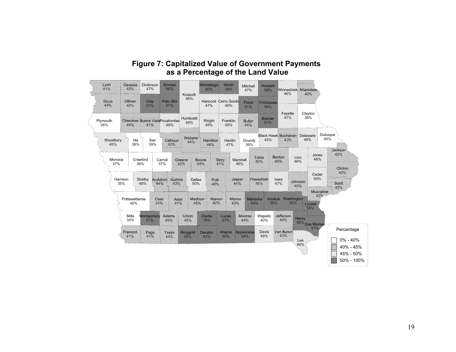| <b>Figure 7: Capitalized Value of Government Payments</b> |
|-----------------------------------------------------------|
| as a Percentage of the Land Value                         |

|                      |                                      | Dickinson<br>47%                 | <b>Emmet</b><br>56%                 | Kossuth                 | Winnebago<br>60%                | Worth<br>59%                  | Mitchell<br>47%                            | Howard<br>58%                          | Winneshiek Allamakee<br>46%                |                                                       |                                           |
|----------------------|--------------------------------------|----------------------------------|-------------------------------------|-------------------------|---------------------------------|-------------------------------|--------------------------------------------|----------------------------------------|--------------------------------------------|-------------------------------------------------------|-------------------------------------------|
| 46612.<br><b>AA%</b> | 09494                                | Clay<br>51%                      | Palo Alto<br>51%                    | 46%                     | 47%                             | Hancock Cerro Gordd<br>49%    | Floyd<br>51%                               | Chickasaw<br>54%                       |                                            |                                                       |                                           |
| Plymouth<br>38%      |                                      |                                  | Cherokee Buena VistaPocahontas      | Humboldt<br>49%         | Wright<br>48%                   | Franklin<br>49%               | Buder                                      | <b>Bremer</b><br>51%                   | Fayette<br>47%                             | Clayton<br>38%                                        |                                           |
| Woodbury<br>45%      | Ida<br>38%                           | Sac<br>39%                       | 海浪的旅<br><b>A369.</b>                | webster.<br><b>MAR</b>  | lootsidakki.<br>!///sessa////   | Hardin<br>47%                 | Grundy<br>39%                              | 45%                                    | Black Hawk Buchanan                        | Delaware<br>49%                                       | Dubuque<br>40%<br>11669561                |
| Monona<br>37%        | Harrison<br>35%                      | Crawford<br>36%<br>Shelby<br>46% | Carroll<br>37%<br>h6dabi<br>1904000 | 366666<br>Dallas<br>50% | 1999999<br><b>ROK</b>           | <b>Story.</b><br><b>Asges</b> | Marshall<br>46%                            | (himis).<br><b>Heineeninghi</b>        | <b>Benov</b><br>Linn<br>46%<br>lowa<br>47% | Jones<br>48%<br>Cedar<br>50%<br>hláéndló<br>snikaseum | 1661611.                                  |
|                      | Pottawattamie<br>40%<br>Mills<br>34% | Montgomery<br>51%                | 1929.<br><b>Addin</b><br>amaba      | //16816614<br>Mohek)    | Mahhahh<br>42%<br>Clarke<br>78% | hónání<br>Lucas<br>57%        | Mahaska<br>54%<br>19641644.<br><b>AARS</b> | <b>Keokuk</b><br>58%<br>Wapello<br>40% | Washington<br>52%<br>sjekkelenter          | Louisa<br>55%<br>Henry                                |                                           |
|                      | Hippippi)                            | 1999)<br>Mille                   | 海溪乡<br><b>AAR</b>                   | Ringgold<br>54%         | Decatur<br>63%                  | Wayne<br>59%                  | Appanoose<br>54%                           | Davis<br>49%                           | van Buidh<br>14.                           | 58% Des Moines<br>51%<br>Lee                          | Percentage<br>$0\% - 40\%$                |
|                      |                                      |                                  |                                     |                         |                                 |                               |                                            |                                        |                                            | 46%                                                   | W<br>40% - 45%<br>45% - 50%<br>50% - 100% |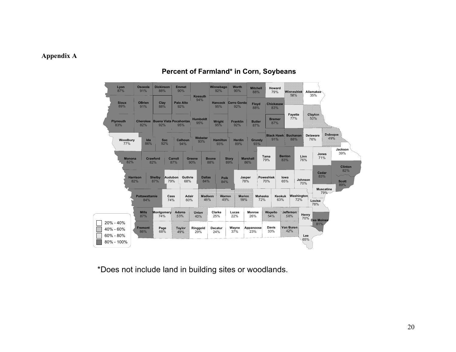#### **Appendix A**



# **Percent of Farmland\* in Corn, Soybeans**

\*Does not include land in building sites or woodlands.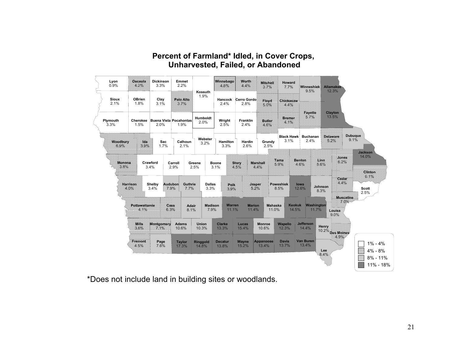

# **Percent of Farmland\* Idled, in Cover Crops, Unharvested, Failed, or Abandoned**

\*Does not include land in building sites or woodlands.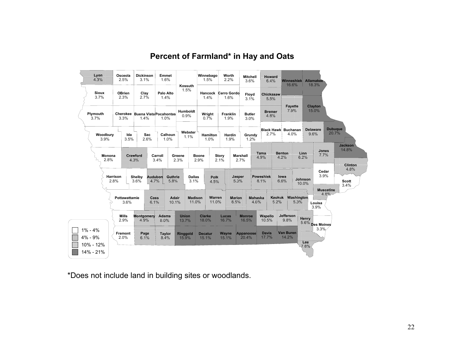

# **Percent of Farmland\* in Hay and Oats**

\*Does not include land in building sites or woodlands.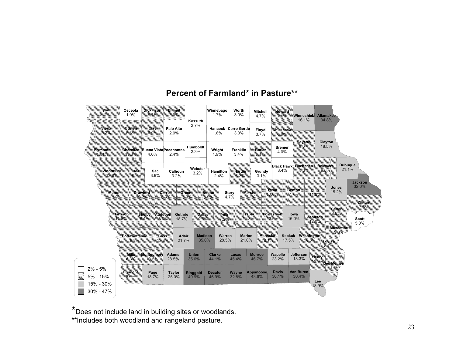

# **Percent of Farmland\* in Pasture\*\***

\*Does not include land in building sites or woodlands. \*\*Includes both woodland and rangeland pasture.